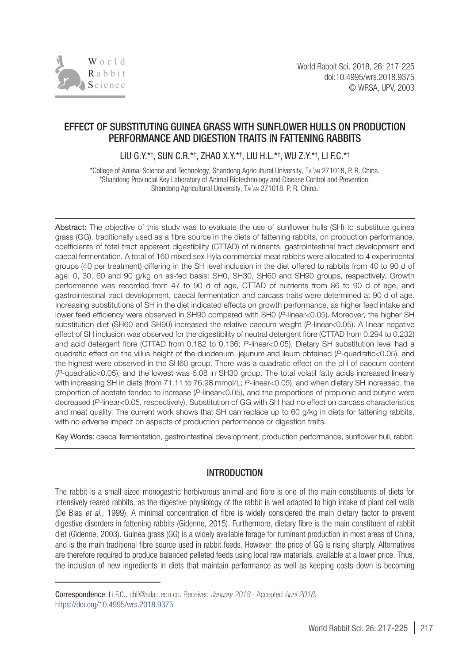

# EFFECT OF SUBSTITUTING GUINEA GRASS WITH SUNFLOWER HULLS ON PRODUCTION PERFORMANCE AND DIGESTION TRAITS IN FATTENING RABBITS

LIU G.Y.\*† , SUN C.R.\*† , ZHAO X.Y.\*† , LIU H.L.\*† , WU Z.Y.\*† , LI F.C.\*†

\*College of Animal Science and Technology, Shandong Agricultural University, Tai'an 271018, P. R. China. † Shandong Provincial Key Laboratory of Animal Biotechnology and Disease Control and Prevention, Shandong Agricultural University, Tai'an 271018, P. R. China.

Abstract: The objective of this study was to evaluate the use of sunflower hulls (SH) to substitute guinea grass (GG), traditionally used as a fibre source in the diets of fattening rabbits, on production performance, coefficients of total tract apparent digestibility (CTTAD) of nutrients, gastrointestinal tract development and caecal fermentation. A total of 160 mixed sex Hyla commercial meat rabbits were allocated to 4 experimental groups (40 per treatment) differing in the SH level inclusion in the diet offered to rabbits from 40 to 90 d of age: 0, 30, 60 and 90 g/kg on as-fed basis: SH0, SH30, SH60 and SH90 groups, respectively. Growth performance was recorded from 47 to 90 d of age, CTTAD of nutrients from 86 to 90 d of age, and gastrointestinal tract development, caecal fermentation and carcass traits were determined at 90 d of age. Increasing substitutions of SH in the diet indicated effects on growth performance, as higher feed intake and lower feed efficiency were observed in SH90 compared with SH0 (P-linear<0.05). Moreover, the higher SH substitution diet (SH60 and SH90) increased the relative caecum weight (P-linear<0.05). A linear negative effect of SH inclusion was observed for the digestibility of neutral detergent fibre (CTTAD from 0.294 to 0.232) and acid detergent fibre (CTTAD from 0.182 to 0.136; *P*-linear<0.05). Dietary SH substitution level had a quadratic effect on the villus height of the duodenum, jejunum and ileum obtained (*P*-quadratic<0.05), and the highest were observed in the SH60 group. There was a quadratic effect on the pH of caecum content (*P*-quadratic<0.05), and the lowest was 6.08 in SH30 group. The total volatil fatty acids increased linearly with increasing SH in diets (from 71.11 to 76.98 mmol/L; *P*-linear<0.05), and when dietary SH increased, the proportion of acetate tended to increase (*P*-linear<0.05), and the proportions of propionic and butyric were decreased (P-linear<0.05, respectively). Substitution of GG with SH had no effect on carcass characteristics and meat quality. The current work shows that SH can replace up to 60 g/kg in diets for fattening rabbits, with no adverse impact on aspects of production performance or digestion traits.

Key Words: caecal fermentation, gastrointestinal development, production performance, sunflower hull, rabbit*.*

## INTRODUCTION

The rabbit is a small sized monogastric herbivorous animal and fibre is one of the main constituents of diets for intensively reared rabbits, as the digestive physiology of the rabbit is well adapted to high intake of plant cell walls (De Blas *et al.,* 1999). A minimal concentration of fibre is widely considered the main dietary factor to prevent digestive disorders in fattening rabbits (Gidenne, 2015). Furthermore, dietary fibre is the main constituent of rabbit diet (Gidenne, 2003). Guinea grass (GG) is a widely available forage for ruminant production in most areas of China, and is the main traditional fibre source used in rabbit feeds. However, the price of GG is rising sharply. Alternatives are therefore required to produce balanced pelleted feeds using local raw materials, available at a lower price. Thus, the inclusion of new ingredients in diets that maintain performance as well as keeping costs down is becoming

Correspondence: Li F.C., chlf@sdau.edu.cn. Received *January 2018* - Accepted *April 2018.* https://doi.org/10.4995/wrs.2018.9375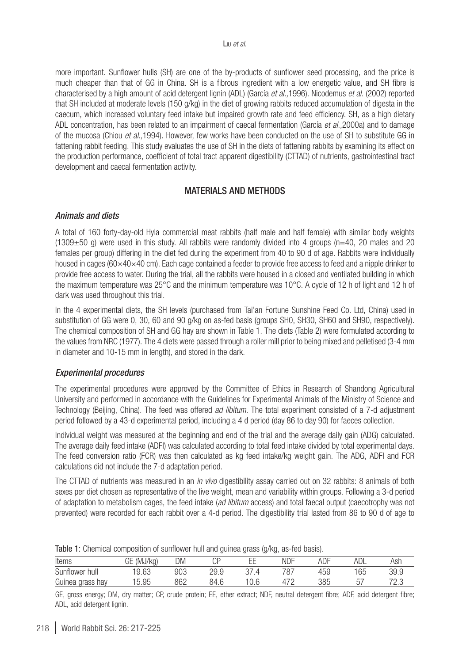more important. Sunflower hulls (SH) are one of the by-products of sunflower seed processing, and the price is much cheaper than that of GG in China. SH is a fibrous ingredient with a low energetic value, and SH fibre is characterised by a high amount of acid detergent lignin (ADL) (García *et al.,*1996). Nicodemus *et al.* (2002) reported that SH included at moderate levels (150 g/kg) in the diet of growing rabbits reduced accumulation of digesta in the caecum, which increased voluntary feed intake but impaired growth rate and feed efficiency. SH, as a high dietary ADL concentration, has been related to an impairment of caecal fermentation (García *et al.,*2000a) and to damage of the mucosa (Chiou *et al.,*1994). However, few works have been conducted on the use of SH to substitute GG in fattening rabbit feeding. This study evaluates the use of SH in the diets of fattening rabbits by examining its effect on the production performance, coefficient of total tract apparent digestibility (CTTAD) of nutrients, gastrointestinal tract development and caecal fermentation activity.

## MATERIALS AND METHODS

#### *Animals and diets*

A total of 160 forty-day-old Hyla commercial meat rabbits (half male and half female) with similar body weights  $(1309±50$  g) were used in this study. All rabbits were randomly divided into 4 groups (n=40, 20 males and 20 females per group) differing in the diet fed during the experiment from 40 to 90 d of age. Rabbits were individually housed in cages (60×40×40 cm). Each cage contained a feeder to provide free access to feed and a nipple drinker to provide free access to water. During the trial, all the rabbits were housed in a closed and ventilated building in which the maximum temperature was 25°C and the minimum temperature was 10°C. A cycle of 12 h of light and 12 h of dark was used throughout this trial.

In the 4 experimental diets, the SH levels (purchased from Tai'an Fortune Sunshine Feed Co. Ltd, China) used in substitution of GG were 0, 30, 60 and 90 g/kg on as-fed basis (groups SH0, SH30, SH60 and SH90, respectively). The chemical composition of SH and GG hay are shown in Table 1. The diets (Table 2) were formulated according to the values from NRC (1977). The 4 diets were passed through a roller mill prior to being mixed and pelletised (3-4 mm in diameter and 10-15 mm in length), and stored in the dark.

## *Experimental procedures*

The experimental procedures were approved by the Committee of Ethics in Research of Shandong Agricultural University and performed in accordance with the Guidelines for Experimental Animals of the Ministry of Science and Technology (Beijing, China). The feed was offered *ad libitum*. The total experiment consisted of a 7-d adjustment period followed by a 43-d experimental period, including a 4 d period (day 86 to day 90) for faeces collection.

Individual weight was measured at the beginning and end of the trial and the average daily gain (ADG) calculated. The average daily feed intake (ADFI) was calculated according to total feed intake divided by total experimental days. The feed conversion ratio (FCR) was then calculated as kg feed intake/kg weight gain. The ADG, ADFI and FCR calculations did not include the 7-d adaptation period.

The CTTAD of nutrients was measured in an *in vivo* digestibility assay carried out on 32 rabbits: 8 animals of both sexes per diet chosen as representative of the live weight, mean and variability within groups. Following a 3-d period of adaptation to metabolism cages, the feed intake (*ad libitum* access) and total faecal output (caecotrophy was not prevented) were recorded for each rabbit over a 4-d period. The digestibility trial lasted from 86 to 90 d of age to

|                  |               |     | ັ    | ັ<br>$\sim$ | $\sim$ |     |          |                |
|------------------|---------------|-----|------|-------------|--------|-----|----------|----------------|
| Items            | (MJ/ka)<br>GE | DM  | UI   |             | NDF    | ADF | ADL      | Ash            |
| Sunflower hull   | 9.63          | 903 | 29.9 |             | 707    | 459 | 65       | 39.9           |
| Guinea grass hay | 5.95          | 862 | 84.6 | 0.6         |        | 385 | ь<br>ັບເ | 70.1<br>$\sim$ |

Table 1: Chemical composition of sunflower hull and guinea grass (g/kg, as-fed basis).

GE, gross energy; DM, dry matter; CP, crude protein; EE, ether extract; NDF, neutral detergent fibre; ADF, acid detergent fibre; ADL, acid detergent lignin.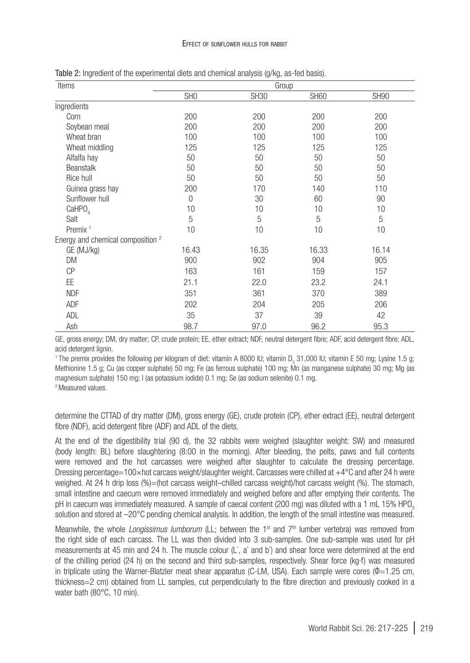| Items                                        |                 | Group       |             |             |
|----------------------------------------------|-----------------|-------------|-------------|-------------|
|                                              | SH <sub>0</sub> | <b>SH30</b> | <b>SH60</b> | <b>SH90</b> |
| Ingredients                                  |                 |             |             |             |
| Corn                                         | 200             | 200         | 200         | 200         |
| Soybean meal                                 | 200             | 200         | 200         | 200         |
| Wheat bran                                   | 100             | 100         | 100         | 100         |
| Wheat middling                               | 125             | 125         | 125         | 125         |
| Alfalfa hay                                  | 50              | 50          | 50          | 50          |
| Beanstalk                                    | 50              | 50          | 50          | 50          |
| Rice hull                                    | 50              | 50          | 50          | 50          |
| Guinea grass hay                             | 200             | 170         | 140         | 110         |
| Sunflower hull                               | $\mathbf 0$     | 30          | 60          | 90          |
| CaHPO <sub>4</sub>                           | 10              | 10          | 10          | 10          |
| Salt                                         | 5               | 5           | 5           | 5           |
| Premix <sup>1</sup>                          | 10              | 10          | 10          | 10          |
| Energy and chemical composition <sup>2</sup> |                 |             |             |             |
| GE (MJ/kg)                                   | 16.43           | 16.35       | 16.33       | 16.14       |
| DM                                           | 900             | 902         | 904         | 905         |
| <b>CP</b>                                    | 163             | 161         | 159         | 157         |
| EE.                                          | 21.1            | 22.0        | 23.2        | 24.1        |
| <b>NDF</b>                                   | 351             | 361         | 370         | 389         |
| ADF                                          | 202             | 204         | 205         | 206         |
| ADL                                          | 35              | 37          | 39          | 42          |
| Ash                                          | 98.7            | 97.0        | 96.2        | 95.3        |

Table 2: Ingredient of the experimental diets and chemical analysis (g/kg, as-fed basis).

GE, gross energy; DM, dry matter; CP, crude protein; EE, ether extract; NDF, neutral detergent fibre; ADF, acid detergent fibre; ADL, acid detergent lignin.

'The premix provides the following per kilogram of diet: vitamin A 8000 IU; vitamin D<sub>3</sub> 31,000 IU; vitamin E 50 mg; Lysine 1.5 g; Methionine 1.5 g; Cu (as copper sulphate) 50 mg; Fe (as ferrous sulphate) 100 mg; Mn (as manganese sulphate) 30 mg; Mg (as magnesium sulphate) 150 mg; I (as potassium iodide) 0.1 mg; Se (as sodium selenite) 0.1 mg. 2 Measured values.

determine the CTTAD of dry matter (DM), gross energy (GE), crude protein (CP), ether extract (EE), neutral detergent fibre (NDF), acid detergent fibre (ADF) and ADL of the diets.

At the end of the digestibility trial (90 d), the 32 rabbits were weighed (slaughter weight: SW) and measured (body length: BL) before slaughtering (8:00 in the morning). After bleeding, the pelts, paws and full contents were removed and the hot carcasses were weighed after slaughter to calculate the dressing percentage. Dressing percentage=100×hot carcass weight/slaughter weight. Carcasses were chilled at +4°C and after 24 h were weighed. At 24 h drip loss (%)=(hot carcass weight–chilled carcass weight)/hot carcass weight (%). The stomach, small intestine and caecum were removed immediately and weighed before and after emptying their contents. The pH in caecum was immediately measured. A sample of caecal content (200 mg) was diluted with a 1 mL 15% HPO<sub>3</sub> solution and stored at –20°C pending chemical analysis. In addition, the length of the small intestine was measured.

Meanwhile, the whole *Longissimus lumborum* (LL; between the 1<sup>st</sup> and 7<sup>th</sup> lumber vertebra) was removed from the right side of each carcass. The LL was then divided into 3 sub-samples. One sub-sample was used for pH measurements at 45 min and 24 h. The muscle colour (L<sup>\*</sup>, a<sup>\*</sup> and b<sup>\*</sup>) and shear force were determined at the end of the chilling period (24 h) on the second and third sub-samples, respectively. Shear force (kg·f) was measured in triplicate using the Warner-Blatzler meat shear apparatus (C-LM, USA). Each sample were cores ( $\Phi$ =1.25 cm, thickness=2 cm) obtained from LL samples, cut perpendicularly to the fibre direction and previously cooked in a water bath (80°C, 10 min).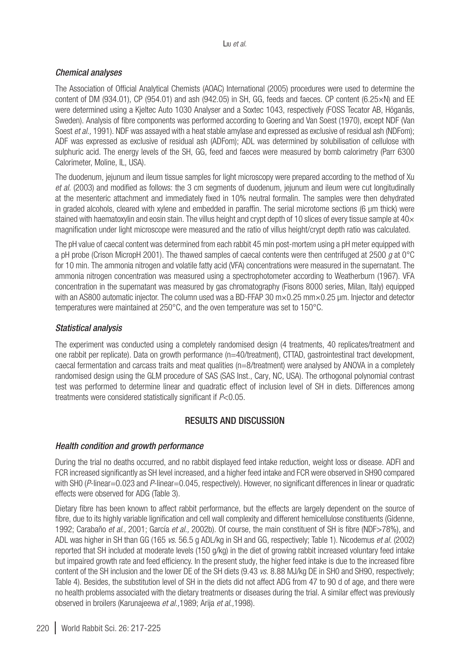## *Chemical analyses*

The Association of Official Analytical Chemists (AOAC) International (2005) procedures were used to determine the content of DM (934.01), CP (954.01) and ash (942.05) in SH, GG, feeds and faeces. CP content (6.25×N) and EE were determined using a Kjeltec Auto 1030 Analyser and a Soxtec 1043, respectively (FOSS Tecator AB, Höganäs, Sweden). Analysis of fibre components was performed according to Goering and Van Soest (1970), except NDF (Van Soest *et al.*, 1991). NDF was assayed with a heat stable amylase and expressed as exclusive of residual ash (NDFom); ADF was expressed as exclusive of residual ash (ADFom); ADL was determined by solubilisation of cellulose with sulphuric acid. The energy levels of the SH, GG, feed and faeces were measured by bomb calorimetry (Parr 6300 Calorimeter, Moline, IL, USA).

The duodenum, jejunum and ileum tissue samples for light microscopy were prepared according to the method of Xu *et al.* (2003) and modified as follows: the 3 cm segments of duodenum, jejunum and ileum were cut longitudinally at the mesenteric attachment and immediately fixed in 10% neutral formalin. The samples were then dehydrated in graded alcohols, cleared with xylene and embedded in paraffin. The serial microtome sections (6 µm thick) were stained with haematoxylin and eosin stain. The villus height and crypt depth of 10 slices of every tissue sample at  $40\times$ magnification under light microscope were measured and the ratio of villus height/crypt depth ratio was calculated.

The pH value of caecal content was determined from each rabbit 45 min post-mortem using a pH meter equipped with a pH probe (Crison MicropH 2001). The thawed samples of caecal contents were then centrifuged at 2500 *g* at 0°C for 10 min. The ammonia nitrogen and volatile fatty acid (VFA) concentrations were measured in the supernatant. The ammonia nitrogen concentration was measured using a spectrophotometer according to Weatherburn (1967). VFA concentration in the supernatant was measured by gas chromatography (Fisons 8000 series, Milan, Italy) equipped with an AS800 automatic injector. The column used was a BD-FFAP 30  $m \times 0.25$  mm $\times 0.25$  µm. Injector and detector temperatures were maintained at 250°C, and the oven temperature was set to 150°C.

## *Statistical analysis*

The experiment was conducted using a completely randomised design (4 treatments, 40 replicates/treatment and one rabbit per replicate). Data on growth performance (n=40/treatment), CTTAD, gastrointestinal tract development, caecal fermentation and carcass traits and meat qualities (n=8/treatment) were analysed by ANOVA in a completely randomised design using the GLM procedure of SAS (SAS Inst., Cary, NC, USA). The orthogonal polynomial contrast test was performed to determine linear and quadratic effect of inclusion level of SH in diets. Differences among treatments were considered statistically significant if *P*<0.05.

## RESULTS AND DISCUSSION

## *Health condition and growth performance*

During the trial no deaths occurred, and no rabbit displayed feed intake reduction, weight loss or disease. ADFI and FCR increased significantly as SH level increased, and a higher feed intake and FCR were observed in SH90 compared with SH0 (*P*-linear=0.023 and *P*-linear=0.045, respectively). However, no significant differences in linear or quadratic effects were observed for ADG (Table 3).

Dietary fibre has been known to affect rabbit performance, but the effects are largely dependent on the source of fibre, due to its highly variable lignification and cell wall complexity and different hemicellulose constituents (Gidenne, 1992; Carabaño *et al.,* 2001; García *et al.,* 2002b). Of course, the main constituent of SH is fibre (NDF>78%), and ADL was higher in SH than GG (165 *vs*. 56.5 g ADL/kg in SH and GG, respectively; Table 1). Nicodemus *et al.* (2002) reported that SH included at moderate levels (150 g/kg) in the diet of growing rabbit increased voluntary feed intake but impaired growth rate and feed efficiency. In the present study, the higher feed intake is due to the increased fibre content of the SH inclusion and the lower DE of the SH diets (9.43 *vs*. 8.88 MJ/kg DE in SH0 and SH90, respectively; Table 4). Besides, the substitution level of SH in the diets did not affect ADG from 47 to 90 d of age, and there were no health problems associated with the dietary treatments or diseases during the trial. A similar effect was previously observed in broilers (Karunajeewa *et al.,*1989; Arija *et al.,*1998).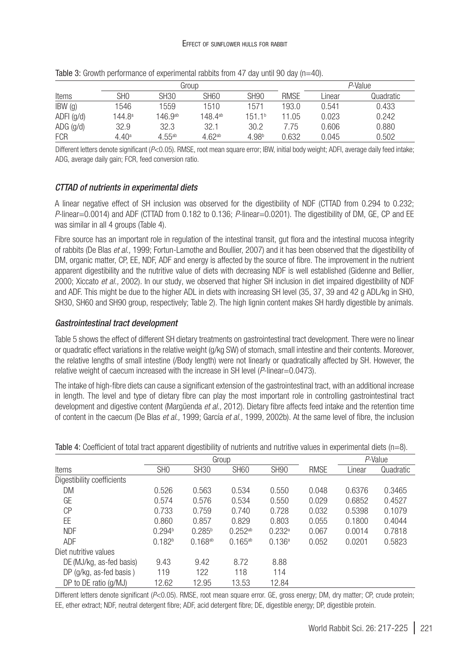|                  |                   |                  | Group            |                    |             | $P-Value$ |           |
|------------------|-------------------|------------------|------------------|--------------------|-------------|-----------|-----------|
| Items            | SH <sub>0</sub>   | SH <sub>30</sub> | SH <sub>60</sub> | <b>SH90</b>        | <b>RMSE</b> | Linear    | Quadratic |
| $IBW$ (g)        | 1546              | 1559             | 1510             | 1571               | 193.0       | 0.541     | 0.433     |
| $ADFI$ ( $q/d$ ) | 144.8ª            | 146.9ab          | 148.4ab          | 151.1 <sup>b</sup> | 11.05       | 0.023     | 0.242     |
| $ADG$ (g/d)      | 32.9              | 32.3             | 32.1             | 30.2               | 7.75        | 0.606     | 0.880     |
| <b>FCR</b>       | 4.40 <sup>a</sup> | $4.55^{ab}$      | $4.62^{ab}$      | 4.98 <sup>b</sup>  | 0.632       | 0.045     | 0.502     |

Table 3: Growth performance of experimental rabbits from 47 day until 90 day (n=40).

Different letters denote significant (P<0.05). RMSE, root mean square error; IBW, initial body weight; ADFI, average daily feed intake; ADG, average daily gain; FCR, feed conversion ratio.

## *CTTAD of nutrients in experimental diets*

A linear negative effect of SH inclusion was observed for the digestibility of NDF (CTTAD from 0.294 to 0.232; *P*-linear=0.0014) and ADF (CTTAD from 0.182 to 0.136; *P*-linear=0.0201). The digestibility of DM, GE, CP and EE was similar in all 4 groups (Table 4).

Fibre source has an important role in regulation of the intestinal transit, gut flora and the intestinal mucosa integrity of rabbits (De Blas *et al.,* 1999; Fortun-Lamothe and Boullier, 2007) and it has been observed that the digestibility of DM, organic matter, CP, EE, NDF, ADF and energy is affected by the source of fibre. The improvement in the nutrient apparent digestibility and the nutritive value of diets with decreasing NDF is well established (Gidenne and Bellier*,* 2000; Xiccato *et al.,* 2002). In our study, we observed that higher SH inclusion in diet impaired digestibility of NDF and ADF. This might be due to the higher ADL in diets with increasing SH level (35, 37, 39 and 42 g ADL/kg in SH0, SH30, SH60 and SH90 group, respectively; Table 2). The high lignin content makes SH hardly digestible by animals.

## *Gastrointestinal tract development*

Table 5 shows the effect of different SH dietary treatments on gastrointestinal tract development. There were no linear or quadratic effect variations in the relative weight (g/kg SW) of stomach, small intestine and their contents. Moreover, the relative lengths of small intestine (/Body length) were not linearly or quadratically affected by SH. However, the relative weight of caecum increased with the increase in SH level (*P*-linear=0.0473).

The intake of high-fibre diets can cause a significant extension of the gastrointestinal tract, with an additional increase in length. The level and type of dietary fibre can play the most important role in controlling gastrointestinal tract development and digestive content (Margüenda *et al.,* 2012). Dietary fibre affects feed intake and the retention time of content in the caecum (De Blas *et al.,* 1999; García *et al.,* 1999, 2002b). At the same level of fibre, the inclusion

|                            |                    |                  | Group        |                    | P-Value     |        |           |
|----------------------------|--------------------|------------------|--------------|--------------------|-------------|--------|-----------|
| <b>Items</b>               | SH <sub>0</sub>    | SH <sub>30</sub> | <b>SH60</b>  | <b>SH90</b>        | <b>RMSE</b> | Linear | Quadratic |
| Digestibility coefficients |                    |                  |              |                    |             |        |           |
| DM                         | 0.526              | 0.563            | 0.534        | 0.550              | 0.048       | 0.6376 | 0.3465    |
| GE                         | 0.574              | 0.576            | 0.534        | 0.550              | 0.029       | 0.6852 | 0.4527    |
| СP                         | 0.733              | 0.759            | 0.740        | 0.728              | 0.032       | 0.5398 | 0.1079    |
| ΕE                         | 0.860              | 0.857            | 0.829        | 0.803              | 0.055       | 0.1800 | 0.4044    |
| <b>NDF</b>                 | 0.294 <sup>b</sup> | $0.285^{b}$      | $0.252^{ab}$ | 0.232a             | 0.067       | 0.0014 | 0.7818    |
| <b>ADF</b>                 | 0.182 <sup>b</sup> | $0.168^{ab}$     | $0.165^{ab}$ | 0.136 <sup>a</sup> | 0.052       | 0.0201 | 0.5823    |
| Diet nutritive values      |                    |                  |              |                    |             |        |           |
| DE (MJ/kg, as-fed basis)   | 9.43               | 9.42             | 8.72         | 8.88               |             |        |           |
| DP (g/kg, as-fed basis)    | 119                | 122              | 118          | 114                |             |        |           |
| DP to DE ratio (g/MJ)      | 12.62              | 12.95            | 13.53        | 12.84              |             |        |           |

Different letters denote significant (*P*<0.05). RMSE, root mean square error. GE, gross energy; DM, dry matter; CP, crude protein; EE, ether extract; NDF, neutral detergent fibre; ADF, acid detergent fibre; DE, digestible energy; DP, digestible protein.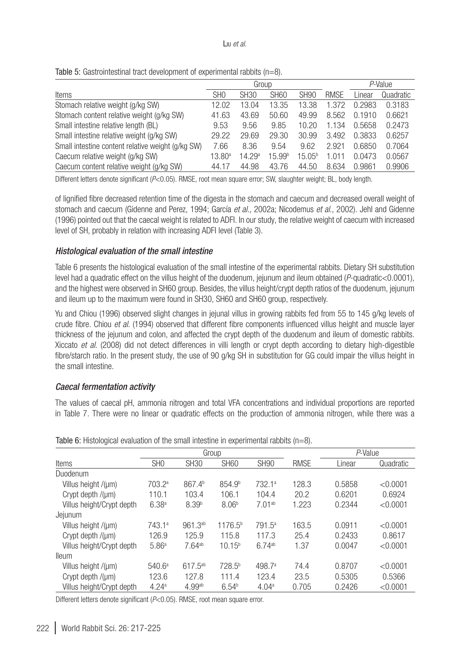|                                                   |                 | Group       |                    |                    |             |        | P-Value   |  |
|---------------------------------------------------|-----------------|-------------|--------------------|--------------------|-------------|--------|-----------|--|
| Items                                             | SH <sub>0</sub> | <b>SH30</b> | <b>SH60</b>        | <b>SH90</b>        | <b>RMSE</b> | Linear | Quadratic |  |
| Stomach relative weight (g/kg SW)                 | 12.02           | 13.04       | 13.35              | 13.38              | 1.372       | 0.2983 | 0.3183    |  |
| Stomach content relative weight (g/kg SW)         | 41.63           | 43.69       | 50.60              | 49.99              | 8.562       | 0.1910 | 0.6621    |  |
| Small intestine relative length (BL)              | 9.53            | 9.56        | 9.85               | 10.20              | 1.134       | 0.5658 | 0.2473    |  |
| Small intestine relative weight (g/kg SW)         | 29.22           | 29.69       | 29.30              | 30.99              | 3.492       | 0.3833 | 0.6257    |  |
| Small intestine content relative weight (g/kg SW) | 7.66            | 8.36        | 9.54               | 9.62               | 2.921       | 0.6850 | 0.7064    |  |
| Caecum relative weight (g/kg SW)                  | $13.80^{\circ}$ | 14.29a      | 15.99 <sup>b</sup> | 15.05 <sup>b</sup> | 1.011       | 0.0473 | 0.0567    |  |
| Caecum content relative weight (g/kg SW)          | 44.17           | 44.98       | 43.76              | 44.50              | 8.634       | 0.9861 | 0.9906    |  |

Different letters denote significant (*P*<0.05). RMSE, root mean square error; SW, slaughter weight; BL, body length.

of lignified fibre decreased retention time of the digesta in the stomach and caecum and decreased overall weight of stomach and caecum (Gidenne and Perez, 1994; García *et al.,* 2002a; Nicodemus *et al.,* 2002). Jehl and Gidenne (1996) pointed out that the caecal weight is related to ADFI. In our study, the relative weight of caecum with increased level of SH, probably in relation with increasing ADFI level (Table 3).

## *Histological evaluation of the small intestine*

Table 6 presents the histological evaluation of the small intestine of the experimental rabbits. Dietary SH substitution level had a quadratic effect on the villus height of the duodenum, jejunum and ileum obtained (*P*-quadratic<0.0001), and the highest were observed in SH60 group. Besides, the villus height/crypt depth ratios of the duodenum, jejunum and ileum up to the maximum were found in SH30, SH60 and SH60 group, respectively.

Yu and Chiou (1996) observed slight changes in jejunal villus in growing rabbits fed from 55 to 145 g/kg levels of crude fibre. Chiou *et al.* (1994) observed that different fibre components influenced villus height and muscle layer thickness of the jejunum and colon, and affected the crypt depth of the duodenum and ileum of domestic rabbits. Xiccato *et al.* (2008) did not detect differences in villi length or crypt depth according to dietary high-digestible fibre/starch ratio. In the present study, the use of 90 g/kg SH in substitution for GG could impair the villus height in the small intestine.

## *Caecal fermentation activity*

The values of caecal pH, ammonia nitrogen and total VFA concentrations and individual proportions are reported in Table 7. There were no linear or quadratic effects on the production of ammonia nitrogen, while there was a

|                           | Group              |                      |                     |                    |             | P-Value |           |
|---------------------------|--------------------|----------------------|---------------------|--------------------|-------------|---------|-----------|
| <b>Items</b>              | SH <sub>0</sub>    | <b>SH30</b>          | <b>SH60</b>         | <b>SH90</b>        | <b>RMSE</b> | Linear  | Quadratic |
| Duodenum                  |                    |                      |                     |                    |             |         |           |
| Villus height /(µm)       | 703.2 <sup>a</sup> | 867.4 <sup>b</sup>   | 854.9 <sup>b</sup>  | 732.1 <sup>a</sup> | 128.3       | 0.5858  | < 0.0001  |
| Crypt depth /(µm)         | 110.1              | 103.4                | 106.1               | 104.4              | 20.2        | 0.6201  | 0.6924    |
| Villus height/Crypt depth | 6.38 <sup>a</sup>  | 8.39 <sup>b</sup>    | 8.06 <sup>b</sup>   | $7.01^{ab}$        | 1.223       | 0.2344  | < 0.0001  |
| Jejunum                   |                    |                      |                     |                    |             |         |           |
| Villus height /(µm)       | 743.1a             | $961.3^{ab}$         | 1176.5 <sup>b</sup> | $791.5^a$          | 163.5       | 0.0911  | < 0.0001  |
| Crypt depth /(um)         | 126.9              | 125.9                | 115.8               | 117.3              | 25.4        | 0.2433  | 0.8617    |
| Villus height/Crypt depth | 5.86 <sup>a</sup>  | $7.64^{ab}$          | $10.15^{b}$         | 6.74 <sup>ab</sup> | 1.37        | 0.0047  | < 0.0001  |
| <b>lleum</b>              |                    |                      |                     |                    |             |         |           |
| Villus height /(µm)       | 540.6 <sup>a</sup> | 617.5ab              | 728.5 <sup>b</sup>  | 498.7 <sup>a</sup> | 74.4        | 0.8707  | < 0.0001  |
| Crypt depth $/(µm)$       | 123.6              | 127.8                | 111.4               | 123.4              | 23.5        | 0.5305  | 0.5366    |
| Villus height/Crypt depth | 4.24 <sup>a</sup>  | $4.99$ <sup>ab</sup> | 6.54 <sup>b</sup>   | 4.04 <sup>a</sup>  | 0.705       | 0.2426  | < 0.0001  |

| Table 6: Histological evaluation of the small intestine in experimental rabbits $(n=8)$ . |  |  |  |  |  |
|-------------------------------------------------------------------------------------------|--|--|--|--|--|
|-------------------------------------------------------------------------------------------|--|--|--|--|--|

Different letters denote significant (*P*<0.05). RMSE, root mean square error.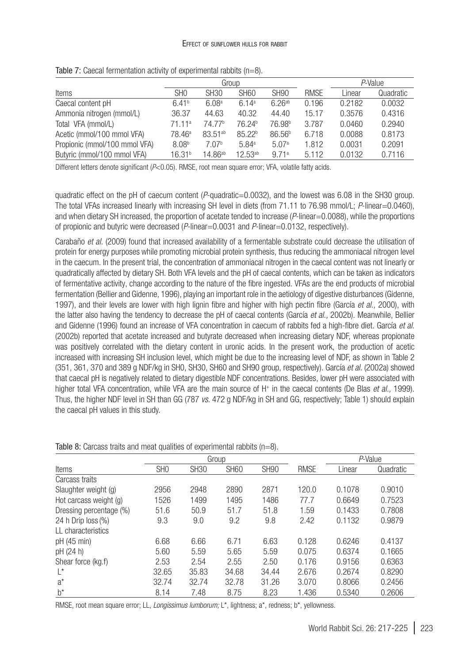#### Effect of sunflower hulls for rabbit

|                               |                    |                     | Group              |                    |             | P-Value |           |
|-------------------------------|--------------------|---------------------|--------------------|--------------------|-------------|---------|-----------|
| Items                         | SH <sub>0</sub>    | SH <sub>30</sub>    | SH <sub>60</sub>   | <b>SH90</b>        | <b>RMSE</b> | Linear  | Quadratic |
| Caecal content pH             | 6.41 <sup>b</sup>  | 6.08 <sup>a</sup>   | 6.14 <sup>a</sup>  | 6.26ab             | 0.196       | 0.2182  | 0.0032    |
| Ammonia nitrogen (mmol/L)     | 36.37              | 44.63               | 40.32              | 44.40              | 15.17       | 0.3576  | 0.4316    |
| Total VFA (mmol/L)            | 71.11 <sup>a</sup> | 74.77 <sup>b</sup>  | 76.24 <sup>b</sup> | 76.98 <sup>b</sup> | 3.787       | 0.0460  | 0.2940    |
| Acetic (mmol/100 mmol VFA)    | 78.46 <sup>a</sup> | 83.51 <sup>ab</sup> | 85.22 <sup>b</sup> | 86.56 <sup>b</sup> | 6.718       | 0.0088  | 0.8173    |
| Propionic (mmol/100 mmol VFA) | 8.08 <sup>b</sup>  | 7.07 <sup>b</sup>   | 5.84 <sup>a</sup>  | 5.07 <sup>a</sup>  | 1.812       | 0.0031  | 0.2091    |
| Butyric (mmol/100 mmol VFA)   | 16.31 <sup>b</sup> | 14.86 <sup>ab</sup> | $12.53^{ab}$       | 9.71a              | 5.112       | 0.0132  | 0.7116    |

Table 7: Caecal fermentation activity of experimental rabbits (n=8).

Different letters denote significant (*P*<0.05). RMSE, root mean square error; VFA, volatile fatty acids.

quadratic effect on the pH of caecum content (*P*-quadratic=0.0032), and the lowest was 6.08 in the SH30 group. The total VFAs increased linearly with increasing SH level in diets (from 71.11 to 76.98 mmol/L; *P*-linear=0.0460), and when dietary SH increased, the proportion of acetate tended to increase (*P*-linear=0.0088), while the proportions of propionic and butyric were decreased (*P*-linear=0.0031 and *P*-linear=0.0132, respectively).

Carabaño *et al.* (2009) found that increased availability of a fermentable substrate could decrease the utilisation of protein for energy purposes while promoting microbial protein synthesis, thus reducing the ammoniacal nitrogen level in the caecum. In the present trial, the concentration of ammoniacal nitrogen in the caecal content was not linearly or quadratically affected by dietary SH. Both VFA levels and the pH of caecal contents, which can be taken as indicators of fermentative activity, change according to the nature of the fibre ingested. VFAs are the end products of microbial fermentation (Bellier and Gidenne, 1996), playing an important role in the aetiology of digestive disturbances (Gidenne, 1997), and their levels are lower with high lignin fibre and higher with high pectin fibre (García *et al.,* 2000), with the latter also having the tendency to decrease the pH of caecal contents (García *et al.,* 2002b). Meanwhile, Bellier and Gidenne (1996) found an increase of VFA concentration in caecum of rabbits fed a high-fibre diet. García *et al.* (2002b) reported that acetate increased and butyrate decreased when increasing dietary NDF, whereas propionate was positively correlated with the dietary content in uronic acids. In the present work, the production of acetic increased with increasing SH inclusion level, which might be due to the increasing level of NDF, as shown in Table 2 (351, 361, 370 and 389 g NDF/kg in SH0, SH30, SH60 and SH90 group, respectively). García *et al.* (2002a) showed that caecal pH is negatively related to dietary digestible NDF concentrations. Besides, lower pH were associated with higher total VFA concentration, while VFA are the main source of H+ in the caecal contents (De Blas *et al.,* 1999). Thus, the higher NDF level in SH than GG (787 *vs*. 472 g NDF/kg in SH and GG, respectively; Table 1) should explain the caecal pH values in this study.

|                         |                 |             | Group       |             |             | P-Value |           |
|-------------------------|-----------------|-------------|-------------|-------------|-------------|---------|-----------|
| Items                   | SH <sub>0</sub> | <b>SH30</b> | <b>SH60</b> | <b>SH90</b> | <b>RMSE</b> | Linear  | Quadratic |
| Carcass traits          |                 |             |             |             |             |         |           |
| Slaughter weight (g)    | 2956            | 2948        | 2890        | 2871        | 120.0       | 0.1078  | 0.9010    |
| Hot carcass weight (g)  | 1526            | 1499        | 1495        | 1486        | 77.7        | 0.6649  | 0.7523    |
| Dressing percentage (%) | 51.6            | 50.9        | 51.7        | 51.8        | 1.59        | 0.1433  | 0.7808    |
| 24 h Drip $loss (\%)$   | 9.3             | 9.0         | 9.2         | 9.8         | 2.42        | 0.1132  | 0.9879    |
| LL characteristics      |                 |             |             |             |             |         |           |
| pH(45 min)              | 6.68            | 6.66        | 6.71        | 6.63        | 0.128       | 0.6246  | 0.4137    |
| pH (24 h)               | 5.60            | 5.59        | 5.65        | 5.59        | 0.075       | 0.6374  | 0.1665    |
| Shear force (kg.f)      | 2.53            | 2.54        | 2.55        | 2.50        | 0.176       | 0.9156  | 0.6363    |
| Ľ                       | 32.65           | 35.83       | 34.68       | 34.44       | 2.676       | 0.2674  | 0.8290    |
| $a^*$                   | 32.74           | 32.74       | 32.78       | 31.26       | 3.070       | 0.8066  | 0.2456    |
| $h^*$                   | 8.14            | 7.48        | 8.75        | 8.23        | 1.436       | 0.5340  | 0.2606    |

| Table 8: Carcass traits and meat qualities of experimental rabbits $(n=8)$ . |  |
|------------------------------------------------------------------------------|--|
|------------------------------------------------------------------------------|--|

RMSE, root mean square error; LL, *Longissimus lumborum;* L\*, lightness; a\*, redness; b\*, yellowness.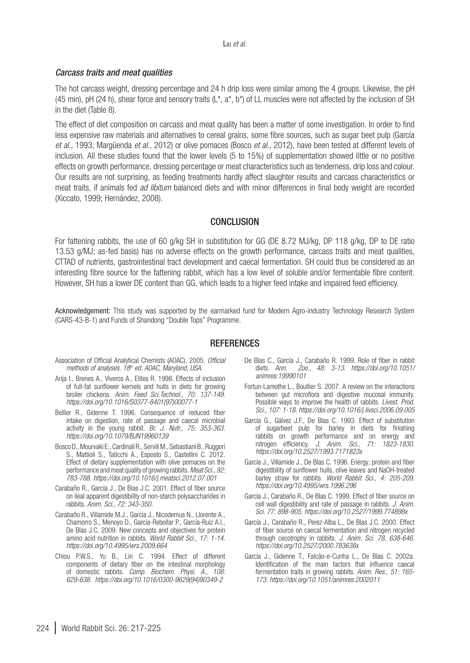#### *Carcass traits and meat qualities*

The hot carcass weight, dressing percentage and 24 h drip loss were similar among the 4 groups. Likewise, the pH (45 min), pH (24 h), shear force and sensory traits  $(L^*, a^*, b^*)$  of LL muscles were not affected by the inclusion of SH in the diet (Table 8).

The effect of diet composition on carcass and meat quality has been a matter of some investigation. In order to find less expensive raw materials and alternatives to cereal grains, some fibre sources, such as sugar beet pulp (García *et al.,* 1993; Margüenda *et al.,* 2012) or olive pomaces (Bosco *et al.,* 2012), have been tested at different levels of inclusion. All these studies found that the lower levels (5 to 15%) of supplementation showed little or no positive effects on growth performance, dressing percentage or meat characteristics such as tenderness, drip loss and colour. Our results are not surprising, as feeding treatments hardly affect slaughter results and carcass characteristics or meat traits, if animals fed *ad libitum* balanced diets and with minor differences in final body weight are recorded (Xiccato, 1999; Hernández, 2008).

## CONCLUSION

For fattening rabbits, the use of 60 g/kg SH in substitution for GG (DE 8.72 MJ/kg, DP 118 g/kg, DP to DE ratio 13.53 g/MJ; as-fed basis) has no adverse effects on the growth performance, carcass traits and meat qualities, CTTAD of nutrients, gastrointestinal tract development and caecal fermentation. SH could thus be considered as an interesting fibre source for the fattening rabbit, which has a low level of soluble and/or fermentable fibre content. However, SH has a lower DE content than GG, which leads to a higher feed intake and impaired feed efficiency.

Acknowledgement: This study was supported by the earmarked fund for Modern Agro-industry Technology Research System (CARS-43-B-1) and Funds of Shandong "Double Tops" Programme.

## **REFERENCES**

- Association of Official Analytical Chemists (AOAC). 2005. *Official methods of analyses. 18*th *ed. AOAC, Maryland, USA.*
- Arija I., Brenes A., Viveros A., Elites R. 1998. Effects of inclusion of full-fat sunflower kernels and hulls in diets for growing broiler chickens. *Anim. Feed Sci.Technol., 70: 137-149. [https://doi.org/10.1016/S0377-8401\(97\)00077-1](https://doi.org/10.1016/S0377-8401(97)00077-1)*
- Bellier R., Gidenne T. 1996. Consequence of reduced fiber intake on digestion, rate of passage and caecal microbial activity in the young rabbit. *Br. J. Nutr., 75: 353-363. <https://doi.org/10.1079/BJN19960139>*
- Bosco D., Mourvaki E., Cardinali R., Servili M., Sebastiani B., Ruggeri S., Mattioli S., Taticchi A., Esposto S., Castellini C. 2012. Effect of dietary supplementation with olive pomaces on the performance and meat quality of growing rabbits. *Meat Sci., 92: 783-788. <https://doi.org/10.1016/j.meatsci.2012.07.001>*
- Carabaño R., García J., De Blas J.C. 2001. Effect of fiber source on ileal apparent digestibility of non-starch polysaccharides in rabbits. *Anim. Sci., 72: 343-350.*
- Carabaño R., Villamide M.J., García J., Nicodemus N., Llorente A., Chamorro S., Menoyo D., García-Rebollar P., García-Ruiz A.I., De Blas J.C. 2009. New concepts and objectives for protein amino acid nutrition in rabbits. *World Rabbit Sci., 17: 1-14. <https://doi.org/10.4995/wrs.2009.664>*
- Chiou P.W.S., Yu B., Lin C. 1994. Effect of different components of dietary fiber on the intestinal morphology of domestic rabbits. *Comp. Biochem. Physi. A., 108: 629-638. [https://doi.org/10.1016/0300-9629\(94\)90349-2](https://doi.org/10.1016/0300-9629(94)90349-2)*
- De Blas C., García J., Carabaño R. 1999. Role of fiber in rabbit diets. Ann. Zoo., 48: 3-13. https://doi.org/10.1051/ diets. *Ann. Zoo., 48: 3-13. [https://doi.org/10.1051/](https://doi.org/10.1051/animres:19990101) [animres:19990101](https://doi.org/10.1051/animres:19990101)*
- Fortun-Lamothe L., Boullier S. 2007. A review on the interactions between gut microflora and digestive mucosal immunity. Possible ways to improve the health of rabbits. *Livest. Prod. Sci., 107: 1-18.<https://doi.org/10.1016/j.livsci.2006.09.005>*
- García G., Gálvez J.F., De Blas C. 1993. Effect of substitution of sugarbeet pulp for barley in diets for finishing rabbits on growth performance and on energy and nitrogen efficiency. *J. Anim. Sci., 71: 1823-1830. <https://doi.org/10.2527/1993.7171823x>*
- García J., Villamide J., De Blas C. 1996. Energy, protein and fiber digestibility of sunflower hulls, olive leaves and NaOH-treated barley straw for rabbits. *World Rabbit Sci., 4: 205-209. <https://doi.org/10.4995/wrs.1996.296>*
- García J., Carabaño R., De Blas C. 1999. Effect of fiber source on cell wall digestibility and rate of passage in rabbits. *J. Anim. Sci. 77: 898-905.<https://doi.org/10.2527/1999.774898x>*
- García J., Carabaño R., Perez-Alba L., De Blas J.C. 2000. Effect of fiber source on caecal fermentation and nitrogen recycled through cecotrophy in rabbits. *J. Anim. Sci. 78, 638-646. <https://doi.org/10.2527/2000.783638x>*
- García J., Gidenne T., Falcão-e-Cunha L., De Blas C. 2002a. Identification of the main factors that influence caecal fermentation traits in growing rabbits. *Anim. Res., 51: 165- 173. <https://doi.org/10.1051/animres:2002011>*